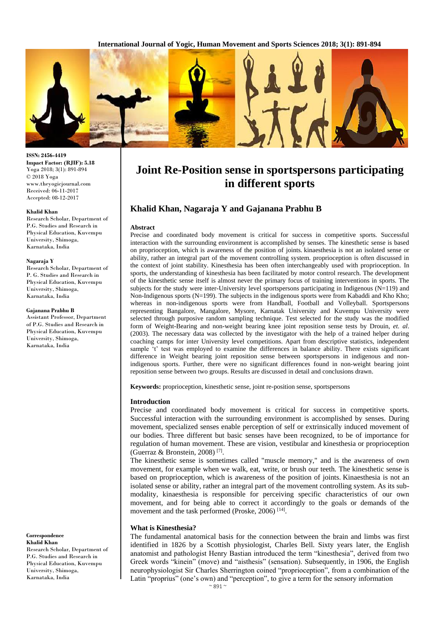**International Journal of Yogic, Human Movement and Sports Sciences 2018; 3(1): 891-894**



# **Joint Re-Position sense in sportspersons participating in different sports**

# **Khalid Khan, Nagaraja Y and Gajanana Prabhu B**

### **Abstract**

Precise and coordinated body movement is critical for success in competitive sports. Successful interaction with the surrounding environment is accomplished by senses. The kinesthetic sense is based on proprioception, which is awareness of the position of joints. kinaesthesia is not an isolated sense or ability, rather an integral part of the movement controlling system. proprioception is often discussed in the context of joint stability. Kinesthesia has been often interchangeably used with proprioception. In sports, the understanding of kinesthesia has been facilitated by motor control research. The development of the kinesthetic sense itself is almost never the primary focus of training interventions in sports. The subjects for the study were inter-University level sportspersons participating in Indigenous ( $N=119$ ) and Non-Indigenous sports (N=199). The subjects in the indigenous sports were from Kabaddi and Kho Kho; whereas in non-indigenous sports were from Handball, Football and Volleyball. Sportspersons representing Bangalore, Mangalore, Mysore, Karnatak University and Kuvempu University were selected through purposive random sampling technique. Test selected for the study was the modified form of Weight-Bearing and non-weight bearing knee joint reposition sense tests by Drouin, *et. al*. (2003). The necessary data was collected by the investigator with the help of a trained helper during coaching camps for inter University level competitions. Apart from descriptive statistics, independent sample 't' test was employed to examine the differences in balance ability. There exists significant difference in Weight bearing joint reposition sense between sportspersons in indigenous and nonindigenous sports. Further, there were no significant differences found in non-weight bearing joint reposition sense between two groups. Results are discussed in detail and conclusions drawn.

**Keywords:** proprioception, kinesthetic sense, joint re-position sense, sportspersons

#### **Introduction**

Precise and coordinated body movement is critical for success in competitive sports. Successful interaction with the surrounding environment is accomplished by senses. During movement, specialized senses enable perception of self or extrinsically induced movement of our bodies. Three different but basic senses have been recognized, to be of importance for regulation of human movement. These are vision, vestibular and kinesthesia or proprioception (Guerraz & Bronstein, 2008) [7] .

The kinesthetic sense is sometimes called "muscle memory," and is the awareness of own movement, for example when we walk, eat, write, or brush our teeth. The kinesthetic sense is based on proprioception, which is awareness of the position of joints. Kinaesthesia is not an isolated sense or ability, rather an integral part of the movement controlling system. As its submodality, kinaesthesia is responsible for perceiving specific characteristics of our own movement, and for being able to correct it accordingly to the goals or demands of the movement and the task performed (Proske, 2006)<sup>[14]</sup>.

## **What is Kinesthesia?**

The fundamental anatomical basis for the connection between the brain and limbs was first identified in 1826 by a Scottish physiologist, Charles Bell. Sixty years later, the English anatomist and pathologist Henry Bastian introduced the term "kinesthesia", derived from two Greek words "kinein" (move) and "aisthesis" (sensation). Subsequently, in 1906, the English neurophysiologist Sir Charles Sherrington coined "proprioception", from a combination of the Latin "proprius" (one's own) and "perception", to give a term for the sensory information

**ISSN: 2456-4419 Impact Factor: (RJIF): 5.18** Yoga 2018; 3(1): 891-894 © 2018 Yoga www.theyogicjournal.com Received: 06-11-2017 Accepted: 08-12-2017

#### **Khalid Khan**

Research Scholar, Department of P.G. Studies and Research in Physical Education, Kuvempu University, Shimoga, Karnataka, India

#### **Nagaraja Y**

Research Scholar, Department of P. G. Studies and Research in Physical Education, Kuvempu University, Shimoga, Karnataka, India

#### **Gajanana Prabhu B**

Assistant Professor, Department of P.G. Studies and Research in Physical Education, Kuvempu University, Shimoga, Karnataka, India

**Correspondence Khalid Khan** Research Scholar, Department of P.G. Studies and Research in Physical Education, Kuvempu University, Shimoga, Karnataka, India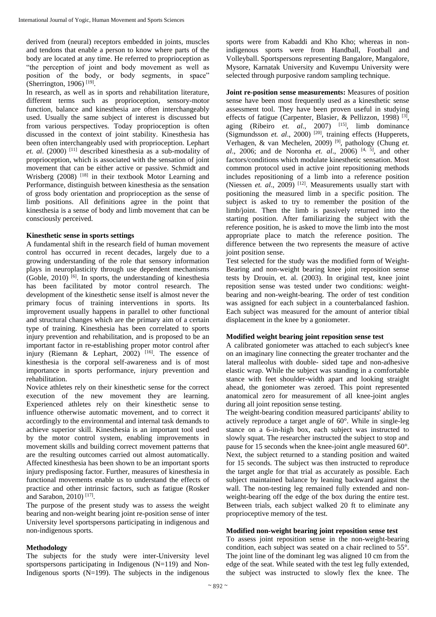derived from (neural) receptors embedded in joints, muscles and tendons that enable a person to know where parts of the body are located at any time. He referred to proprioception as "the perception of joint and body movement as well as position of the body, or body segments, in space" (Sherrington, 1906)<sup>[19]</sup>.

In research, as well as in sports and rehabilitation literature, different terms such as proprioception, sensory-motor function, balance and kinesthesia are often interchangeably used. Usually the same subject of interest is discussed but from various perspectives. Today proprioception is often discussed in the context of joint stability. Kinesthesia has been often interchangeably used with proprioception. Lephart *et. al*. (2000) [11] described kinesthesia as a sub-modality of proprioception, which is associated with the sensation of joint movement that can be either active or passive. Schmidt and Wrisberg (2008) <sup>[18]</sup> in their textbook Motor Learning and Performance, distinguish between kinesthesia as the sensation of gross body orientation and proprioception as the sense of limb positions. All definitions agree in the point that kinesthesia is a sense of body and limb movement that can be consciously perceived.

## **Kinesthetic sense in sports settings**

A fundamental shift in the research field of human movement control has occurred in recent decades, largely due to a growing understanding of the role that sensory information plays in neuroplasticity through use dependent mechanisms (Goble, 2010)  $[6]$ . In sports, the understanding of kinesthesia has been facilitated by motor control research. The development of the kinesthetic sense itself is almost never the primary focus of training interventions in sports. Its improvement usually happens in parallel to other functional and structural changes which are the primary aim of a certain type of training. Kinesthesia has been correlated to sports injury prevention and rehabilitation, and is proposed to be an important factor in re-establishing proper motor control after injury (Riemann & Lephart, 2002)  $[16]$ . The essence of kinesthesia is the corporal self-awareness and is of most importance in sports performance, injury prevention and rehabilitation.

Novice athletes rely on their kinesthetic sense for the correct execution of the new movement they are learning. Experienced athletes rely on their kinesthetic sense to influence otherwise automatic movement, and to correct it accordingly to the environmental and internal task demands to achieve superior skill. Kinesthesia is an important tool used by the motor control system, enabling improvements in movement skills and building correct movement patterns that are the resulting outcomes carried out almost automatically. Affected kinesthesia has been shown to be an important sports injury predisposing factor. Further, measures of kinesthesia in functional movements enable us to understand the effects of practice and other intrinsic factors, such as fatigue (Rosker and Sarabon, 2010)<sup>[17]</sup>.

The purpose of the present study was to assess the weight bearing and non-weight bearing joint re-position sense of inter University level sportspersons participating in indigenous and non-indigenous sports.

# **Methodology**

The subjects for the study were inter-University level sportspersons participating in Indigenous (N=119) and Non-Indigenous sports  $(N=199)$ . The subjects in the indigenous

sports were from Kabaddi and Kho Kho; whereas in nonindigenous sports were from Handball, Football and Volleyball. Sportspersons representing Bangalore, Mangalore, Mysore, Karnatak University and Kuvempu University were selected through purposive random sampling technique.

**Joint re-position sense measurements:** Measures of position sense have been most frequently used as a kinesthetic sense assessment tool. They have been proven useful in studying effects of fatigue (Carpenter, Blasier, & Pellizzon, 1998)<sup>[3]</sup>, aging (Ribeiro *et. al*., 2007) [15], limb dominance (Sigmundsson *et. al*., 2000) [20], training effects (Hupperets, Verhagen, & van Mechelen, 2009) [9], pathology (Chung *et. al*., 2006; and de Noronha *et. al*., 2006) [4, 5] , and other factors/conditions which modulate kinesthetic sensation. Most common protocol used in active joint repositioning methods includes repositioning of a limb into a reference position (Niessen *et. al.*, 2009)<sup>[12]</sup>. Measurements usually start with positioning the measured limb in a specific position. The subject is asked to try to remember the position of the limb/joint. Then the limb is passively returned into the starting position. After familiarizing the subject with the reference position, he is asked to move the limb into the most appropriate place to match the reference position. The difference between the two represents the measure of active joint position sense.

Test selected for the study was the modified form of Weight-Bearing and non-weight bearing knee joint reposition sense tests by Drouin, et. al. (2003). In original test, knee joint reposition sense was tested under two conditions: weightbearing and non-weight-bearing. The order of test condition was assigned for each subject in a counterbalanced fashion. Each subject was measured for the amount of anterior tibial displacement in the knee by a goniometer.

# **Modified weight bearing joint reposition sense test**

A calibrated goniometer was attached to each subject's knee on an imaginary line connecting the greater trochanter and the lateral malleolus with double- sided tape and non-adhesive elastic wrap. While the subject was standing in a comfortable stance with feet shoulder-width apart and looking straight ahead, the goniometer was zeroed. This point represented anatomical zero for measurement of all knee-joint angles during all joint reposition sense testing.

The weight-bearing condition measured participants' ability to actively reproduce a target angle of 60°. While in single-leg stance on a 6-in-high box, each subject was instructed to slowly squat. The researcher instructed the subject to stop and pause for 15 seconds when the knee-joint angle measured 60°. Next, the subject returned to a standing position and waited for 15 seconds. The subject was then instructed to reproduce the target angle for that trial as accurately as possible. Each subject maintained balance by leaning backward against the wall. The non-testing leg remained fully extended and nonweight-bearing off the edge of the box during the entire test. Between trials, each subject walked 20 ft to eliminate any proprioceptive memory of the test.

# **Modified non-weight bearing joint reposition sense test**

To assess joint reposition sense in the non-weight-bearing condition, each subject was seated on a chair reclined to 55°. The joint line of the dominant leg was aligned 10 cm from the edge of the seat. While seated with the test leg fully extended, the subject was instructed to slowly flex the knee. The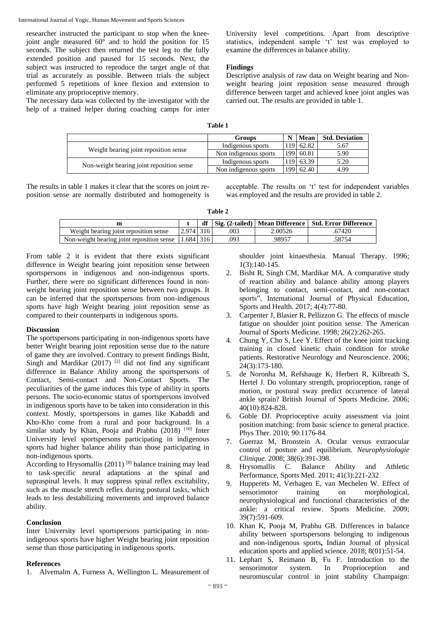International Journal of Yogic, Human Movement and Sports Sciences

researcher instructed the participant to stop when the kneejoint angle measured 60° and to hold the position for 15 seconds. The subject then returned the test leg to the fully extended position and paused for 15 seconds. Next, the subject was instructed to reproduce the target angle of that trial as accurately as possible. Between trials the subject performed 5 repetitions of knee flexion and extension to eliminate any proprioceptive memory.

The necessary data was collected by the investigator with the help of a trained helper during coaching camps for inter University level competitions. Apart from descriptive statistics, independent sample 't' test was employed to examine the differences in balance ability.

# **Findings**

Descriptive analysis of raw data on Weight bearing and Nonweight bearing joint reposition sense measured through difference between target and achieved knee joint angles was carried out. The results are provided in table 1.

|                                           | Mean<br><b>Groups</b> |  | <b>Std. Deviation</b> |      |
|-------------------------------------------|-----------------------|--|-----------------------|------|
| Weight bearing joint reposition sense     | Indigenous sports     |  | 119 62.82             | 5.67 |
|                                           | Non indigenous sports |  | 199 60.81             | 5.90 |
| Non-weight bearing joint reposition sense | Indigenous sports     |  | 119 63.39             | 5.20 |
|                                           | Non indigenous sports |  | 199 62.40             | 4.99 |

The results in table 1 makes it clear that the scores on joint reposition sense are normally distributed and homogeneity is acceptable. The results on 't' test for independent variables was employed and the results are provided in table 2.

**Table 2**

|                                           |           |     |         | df   Sig. (2-tailed)   Mean Difference   Std. Error Difference |
|-------------------------------------------|-----------|-----|---------|----------------------------------------------------------------|
| Weight bearing joint reposition sense     | 2.974 316 | 003 | 2.00526 | .67420                                                         |
| Non-weight bearing joint reposition sense | 1.684 316 | 093 | 98957   | 58754                                                          |

From table 2 it is evident that there exists significant difference in Weight bearing joint reposition sense between sportspersons in indigenous and non-indigenous sports. Further, there were no significant differences found in nonweight bearing joint reposition sense between two groups. It can be inferred that the sportspersons from non-indigenous sports have high Weight bearing joint reposition sense as compared to their counterparts in indigenous sports.

# **Discussion**

The sportspersons participating in non-indigenous sports have better Weight bearing joint reposition sense due to the nature of game they are involved. Contrary to present findings Bisht, Singh and Mardikar  $(2017)$ <sup>[2]</sup> did not find any significant difference in Balance Ability among the sportspersons of Contact, Semi-contact and Non-Contact Sports. The peculiarities of the game induces this type of ability in sports persons. The socio-economic status of sportspersons involved in indigenous sports have to be taken into consideration in this context. Mostly, sportspersons in games like Kabaddi and Kho-Kho come from a rural and poor background. In a similar study by Khan, Pooja and Prabhu (2018) <sup>[10]</sup> Inter University level sportspersons participating in indigenous sports had higher balance ability than those participating in non-indigenous sports.

According to Hrysomallis  $(2011)$ <sup>[8]</sup> balance training may lead to task-specific neural adaptations at the spinal and supraspinal levels. It may suppress spinal reflex excitability, such as the muscle stretch reflex during postural tasks, which leads to less destabilizing movements and improved balance ability.

# **Conclusion**

Inter University level sportspersons participating in nonindigenous sports have higher Weight bearing joint reposition sense than those participating in indigenous sports.

# **References**

1. Alvemalm A, Furness A, Wellington L. Measurement of

shoulder joint kinaesthesia. Manual Therapy. 1996; 1(3):140-145.

- 2. Bisht R, Singh CM, Mardikar MA. A comparative study of reaction ability and balance ability among players belonging to contact, semi-contact, and non-contact sports", International Journal of Physical Education, Sports and Health. 2017; 4(4):77-80.
- 3. Carpenter J, Blasier R, Pellizzon G. The effects of muscle fatigue on shoulder joint position sense. The American Journal of Sports Medicine*.* 1998; 26(2):262-265.
- 4. Chung Y, Cho S, Lee Y. Effect of the knee joint tracking training in closed kinetic chain condition for stroke patients. Restorative Neurology and Neuroscience. 2006; 24(3):173-180.
- 5. de Noronha M, Refshauge K, Herbert R, Kilbreath S, Hertel J. Do voluntary strength, proprioception, range of motion, or postural sway predict occurrence of lateral ankle sprain? British Journal of Sports Medicine*.* 2006; 40(10):824-828.
- 6. Goble DJ. Proprioceptive acuity assessment via joint position matching: from basic science to general practice. Phys Ther. 2010; 90:1176-84.
- 7. Guerraz M, Bronstein A. Ocular versus extraocular control of posture and equilibrium. *Neurophysiologie Clinique.* 2008; 38(6):391-398.
- 8. Hrysomallis C. Balance Ability and Athletic Performance, Sports Med. 2011; 41(3):221-232
- 9. Hupperets M, Verhagen E, van Mechelen W. Effect of sensorimotor training on morphological, neurophysiological and functional characteristics of the ankle: a critical review. Sports Medicine. 2009; 39(7):591-609.
- 10. Khan K, Pooja M, Prabhu GB. Differences in balance ability between sportspersons belonging to indigenous and non-indigenous sports**,** Indian Journal of physical education sports and applied science. 2018; 8(01):51-54.
- 11. Lephart S, Reimann B, Fu F. Introduction to the sensorimotor system. In Proprioception and neuromuscular control in joint stability Champaign: